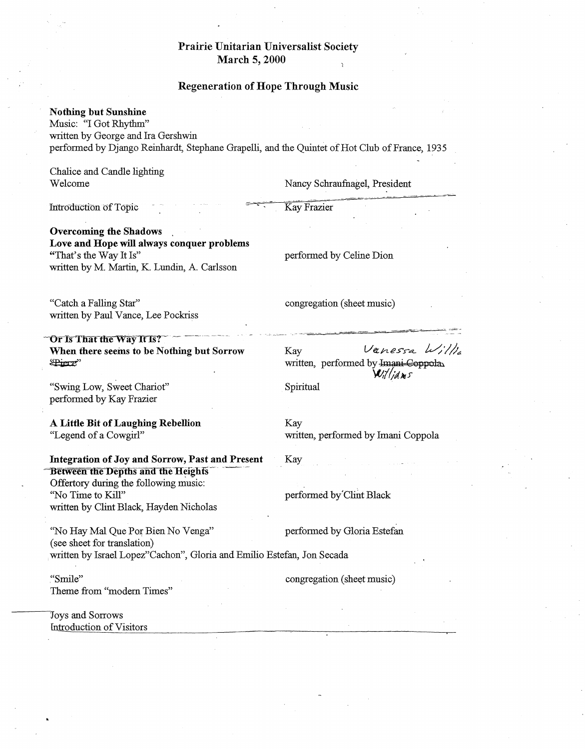## Prairie Unitarian Universalist Society March 5, 2000

## Regeneration of Hope Through Music

## Nothing but Sunshine

Music: "I Got Rhythm" written by George and Ira Gershwin performed by Django Reinhardt, Stephane GrapelJi, and the Quintet of Hot Club of France, 1935

Chalice and Candle lighting Welcome

Nancy Schraufnagel, President

Introduction of Topic

Overcoming the Shadows Love and Hope will always conquer problems "That's the Way It Is" written by M. Martin, K. Lundin, A. Carlsson

performed by Celine Dion

congregation (sheet music)

Kay Fraziet

"Catch a Falling Star" written by Paul Vance, Lee Pockriss

Or Is That the Way It Is? When there seems to be Nothing but Sorrow ~'

"Swing Low, Sweet Chariot" performed by Kay Frazier

A Little Bit of Laughing Rebellion "Legend of a Cowgirl"

Integration of Joy and Sorrow, Past and Present Between the Depths and the Heights Offertory during the following music: "No Time to Kill" written by Clint Black, Hayden Nicholas

"No Hay Mal Que Por Bien No Venga" performed by Gloria Estefan (see sheet for translation) . written by Israel Lopez"Cachon", Gloria and Emilio Estefan, Jon Secada

."Smile" Theme from "modem Times"

30ys and Sorrows fntroduction of Visitors  $Kaw$  Vanessa  $\omega_l / \omega_l$ written, performed by Imani-Coppola Williams

Spiritual

Kay

Kay written, performed by Imani Coppola

performed by Clint Black

congregation (sheet music)